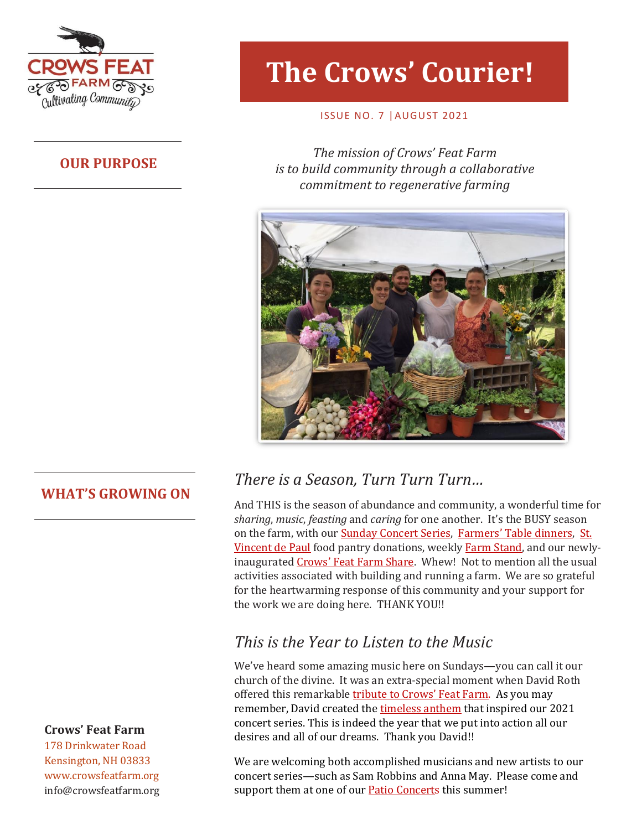

## **OUR PURPOSE**

# **The Crows' Courier!**

### ISSUE NO. 7 |AUGUST 2021

**The mission of Crows' Feat Farm** *is to build community through a collaborative commitment to regenerative farming*



## **WHAT'S GROWING ON**

## **Crows' Feat Farm**

178 Drinkwater Road Kensington, NH 03833 www.crowsfeatfarm.org [info@crowsfeatfarm.org](mailto:info@crowsfeatfarm.org)

# *There is a Season, Turn Turn Turn…*

And THIS is the season of abundance and community, a wonderful time for *sharing*, *music*, *feasting* and *caring* for one another. It's the BUSY season on the farm, with our [Sunday Concert Series,](https://crowsfeatfarm.org/why-we-are-live/) [Farmers' Table dinners](https://crowsfeatfarm.org/the-farmers-table/), [St.](https://www.svdpexeter.com/)  [Vincent de Paul](https://www.svdpexeter.com/) food pantry donations, weekly [Farm Stand,](https://crowsfeatfarm.org/whats-growing-on/) and our newlyinaugurated [Crows' Feat F](https://crowsfeatfarm.org/crows-feat-farm-share/)arm Share. Whew! Not to mention all the usual activities associated with building and running a farm. We are so grateful for the heartwarming response of this community and your support for the work we are doing here. THANK YOU!!

# *This is the Year to Listen to the Music*

We've heard some amazing music here on Sundays—you can call it our church of the divine. It was an extra-special moment when David Roth offered this remarkable t[ribute to Crows' Feat Farm](https://crowsfeatfarm.org/wp-content/uploads/2021/07/Crows-Feat-Farm.m4a). As you may remember, David created th[e timeless anthem](https://crowsfeatfarm.org/wp-content/uploads/2021/05/06-This-Is-The-Year-1.mp3) that inspired our 2021 concert series. This is indeed the year that we put into action all our desires and all of our dreams. Thank you David!!

We are welcoming both accomplished musicians and new artists to our concert series—such as Sam Robbins and Anna May. Please come and support them at one of our **Patio Concerts** this summer!